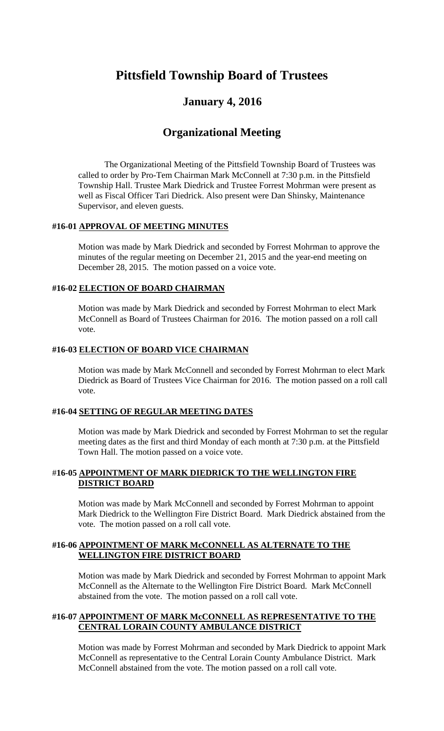# **Pittsfield Township Board of Trustees**

# **January 4, 2016**

# **Organizational Meeting**

The Organizational Meeting of the Pittsfield Township Board of Trustees was called to order by Pro-Tem Chairman Mark McConnell at 7:30 p.m. in the Pittsfield Township Hall. Trustee Mark Diedrick and Trustee Forrest Mohrman were present as well as Fiscal Officer Tari Diedrick. Also present were Dan Shinsky, Maintenance Supervisor, and eleven guests.

#### **#16-01 APPROVAL OF MEETING MINUTES**

Motion was made by Mark Diedrick and seconded by Forrest Mohrman to approve the minutes of the regular meeting on December 21, 2015 and the year-end meeting on December 28, 2015. The motion passed on a voice vote.

# **#16-02 ELECTION OF BOARD CHAIRMAN**

Motion was made by Mark Diedrick and seconded by Forrest Mohrman to elect Mark McConnell as Board of Trustees Chairman for 2016. The motion passed on a roll call vote.

#### **#16-03 ELECTION OF BOARD VICE CHAIRMAN**

Motion was made by Mark McConnell and seconded by Forrest Mohrman to elect Mark Diedrick as Board of Trustees Vice Chairman for 2016. The motion passed on a roll call vote.

#### **#16-04 SETTING OF REGULAR MEETING DATES**

Motion was made by Mark Diedrick and seconded by Forrest Mohrman to set the regular meeting dates as the first and third Monday of each month at 7:30 p.m. at the Pittsfield Town Hall. The motion passed on a voice vote.

#### #**16-05 APPOINTMENT OF MARK DIEDRICK TO THE WELLINGTON FIRE DISTRICT BOARD**

Motion was made by Mark McConnell and seconded by Forrest Mohrman to appoint Mark Diedrick to the Wellington Fire District Board. Mark Diedrick abstained from the vote. The motion passed on a roll call vote.

#### **#16-06 APPOINTMENT OF MARK McCONNELL AS ALTERNATE TO THE WELLINGTON FIRE DISTRICT BOARD**

Motion was made by Mark Diedrick and seconded by Forrest Mohrman to appoint Mark McConnell as the Alternate to the Wellington Fire District Board. Mark McConnell abstained from the vote. The motion passed on a roll call vote.

#### **#16-07 APPOINTMENT OF MARK McCONNELL AS REPRESENTATIVE TO THE CENTRAL LORAIN COUNTY AMBULANCE DISTRICT**

Motion was made by Forrest Mohrman and seconded by Mark Diedrick to appoint Mark McConnell as representative to the Central Lorain County Ambulance District. Mark McConnell abstained from the vote. The motion passed on a roll call vote.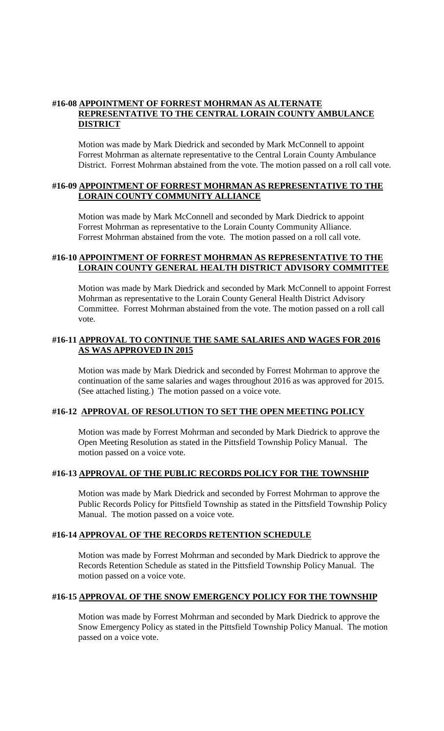#### **#16-08 APPOINTMENT OF FORREST MOHRMAN AS ALTERNATE REPRESENTATIVE TO THE CENTRAL LORAIN COUNTY AMBULANCE DISTRICT**

Motion was made by Mark Diedrick and seconded by Mark McConnell to appoint Forrest Mohrman as alternate representative to the Central Lorain County Ambulance District. Forrest Mohrman abstained from the vote. The motion passed on a roll call vote.

#### **#16-09 APPOINTMENT OF FORREST MOHRMAN AS REPRESENTATIVE TO THE LORAIN COUNTY COMMUNITY ALLIANCE**

Motion was made by Mark McConnell and seconded by Mark Diedrick to appoint Forrest Mohrman as representative to the Lorain County Community Alliance. Forrest Mohrman abstained from the vote. The motion passed on a roll call vote.

#### **#16-10 APPOINTMENT OF FORREST MOHRMAN AS REPRESENTATIVE TO THE LORAIN COUNTY GENERAL HEALTH DISTRICT ADVISORY COMMITTEE**

Motion was made by Mark Diedrick and seconded by Mark McConnell to appoint Forrest Mohrman as representative to the Lorain County General Health District Advisory Committee. Forrest Mohrman abstained from the vote. The motion passed on a roll call vote.

#### **#16-11 APPROVAL TO CONTINUE THE SAME SALARIES AND WAGES FOR 2016 AS WAS APPROVED IN 2015**

Motion was made by Mark Diedrick and seconded by Forrest Mohrman to approve the continuation of the same salaries and wages throughout 2016 as was approved for 2015. (See attached listing.) The motion passed on a voice vote.

#### **#16-12 APPROVAL OF RESOLUTION TO SET THE OPEN MEETING POLICY**

Motion was made by Forrest Mohrman and seconded by Mark Diedrick to approve the Open Meeting Resolution as stated in the Pittsfield Township Policy Manual. The motion passed on a voice vote.

#### **#16-13 APPROVAL OF THE PUBLIC RECORDS POLICY FOR THE TOWNSHIP**

Motion was made by Mark Diedrick and seconded by Forrest Mohrman to approve the Public Records Policy for Pittsfield Township as stated in the Pittsfield Township Policy Manual. The motion passed on a voice vote.

#### **#16-14 APPROVAL OF THE RECORDS RETENTION SCHEDULE**

Motion was made by Forrest Mohrman and seconded by Mark Diedrick to approve the Records Retention Schedule as stated in the Pittsfield Township Policy Manual. The motion passed on a voice vote.

#### **#16-15 APPROVAL OF THE SNOW EMERGENCY POLICY FOR THE TOWNSHIP**

Motion was made by Forrest Mohrman and seconded by Mark Diedrick to approve the Snow Emergency Policy as stated in the Pittsfield Township Policy Manual. The motion passed on a voice vote.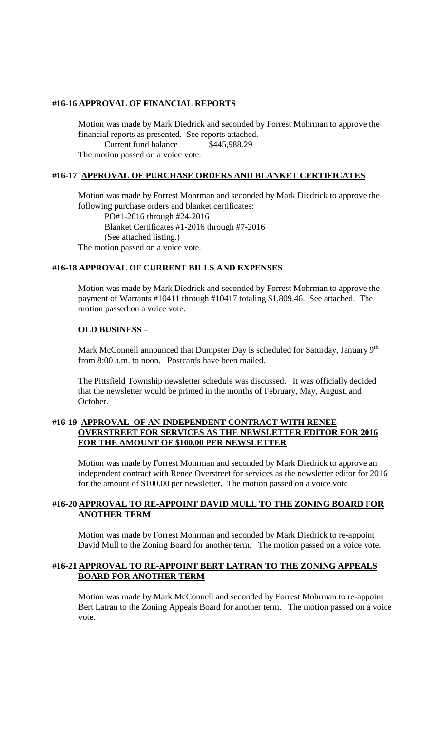#### **#16-16 APPROVAL OF FINANCIAL REPORTS**

Motion was made by Mark Diedrick and seconded by Forrest Mohrman to approve the financial reports as presented. See reports attached.

Current fund balance \$445,988.29

The motion passed on a voice vote.

# **#16-17 APPROVAL OF PURCHASE ORDERS AND BLANKET CERTIFICATES**

Motion was made by Forrest Mohrman and seconded by Mark Diedrick to approve the following purchase orders and blanket certificates:

PO#1-2016 through #24-2016 Blanket Certificates #1-2016 through #7-2016 (See attached listing.) The motion passed on a voice vote.

#### **#16-18 APPROVAL OF CURRENT BILLS AND EXPENSES**

Motion was made by Mark Diedrick and seconded by Forrest Mohrman to approve the payment of Warrants #10411 through #10417 totaling \$1,809.46. See attached. The motion passed on a voice vote.

#### **OLD BUSINESS** –

Mark McConnell announced that Dumpster Day is scheduled for Saturday, January 9<sup>th</sup> from 8:00 a.m. to noon. Postcards have been mailed.

The Pittsfield Township newsletter schedule was discussed. It was officially decided that the newsletter would be printed in the months of February, May, August, and October.

#### **#16-19 APPROVAL OF AN INDEPENDENT CONTRACT WITH RENEE OVERSTREET FOR SERVICES AS THE NEWSLETTER EDITOR FOR 2016 FOR THE AMOUNT OF \$100.00 PER NEWSLETTER**

Motion was made by Forrest Mohrman and seconded by Mark Diedrick to approve an independent contract with Renee Overstreet for services as the newsletter editor for 2016 for the amount of \$100.00 per newsletter. The motion passed on a voice vote

# **#16-20 APPROVAL TO RE-APPOINT DAVID MULL TO THE ZONING BOARD FOR ANOTHER TERM**

Motion was made by Forrest Mohrman and seconded by Mark Diedrick to re-appoint David Mull to the Zoning Board for another term. The motion passed on a voice vote.

#### **#16-21 APPROVAL TO RE-APPOINT BERT LATRAN TO THE ZONING APPEALS BOARD FOR ANOTHER TERM**

Motion was made by Mark McConnell and seconded by Forrest Mohrman to re-appoint Bert Latran to the Zoning Appeals Board for another term. The motion passed on a voice vote.